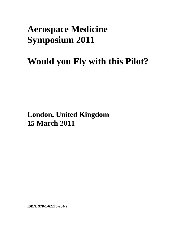## **Aerospace Medicine Symposium 2011**

## **Would you Fly with this Pilot?**

**London, United Kingdom 15 March 2011**

**ISBN: 978-1-62276-284-2**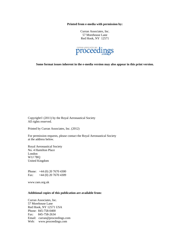**Printed from e-media with permission by:** 

Curran Associates, Inc. 57 Morehouse Lane Red Hook, NY 12571



**Some format issues inherent in the e-media version may also appear in this print version.** 

Copyright© (2011) by the Royal Aeronautical Society All rights reserved.

Printed by Curran Associates, Inc. (2012)

For permission requests, please contact the Royal Aeronautical Society at the address below.

Royal Aeronautical Society No. 4 Hamilton Place London W1J 7BQ United Kingdom

Phone: +44 (0) 20 7670 4300 Fax: +44 (0) 20 7670 4309

www.raes.org.uk

## **Additional copies of this publication are available from:**

Curran Associates, Inc. 57 Morehouse Lane Red Hook, NY 12571 USA Phone: 845-758-0400 Fax: 845-758-2634 Email: curran@proceedings.com Web: www.proceedings.com